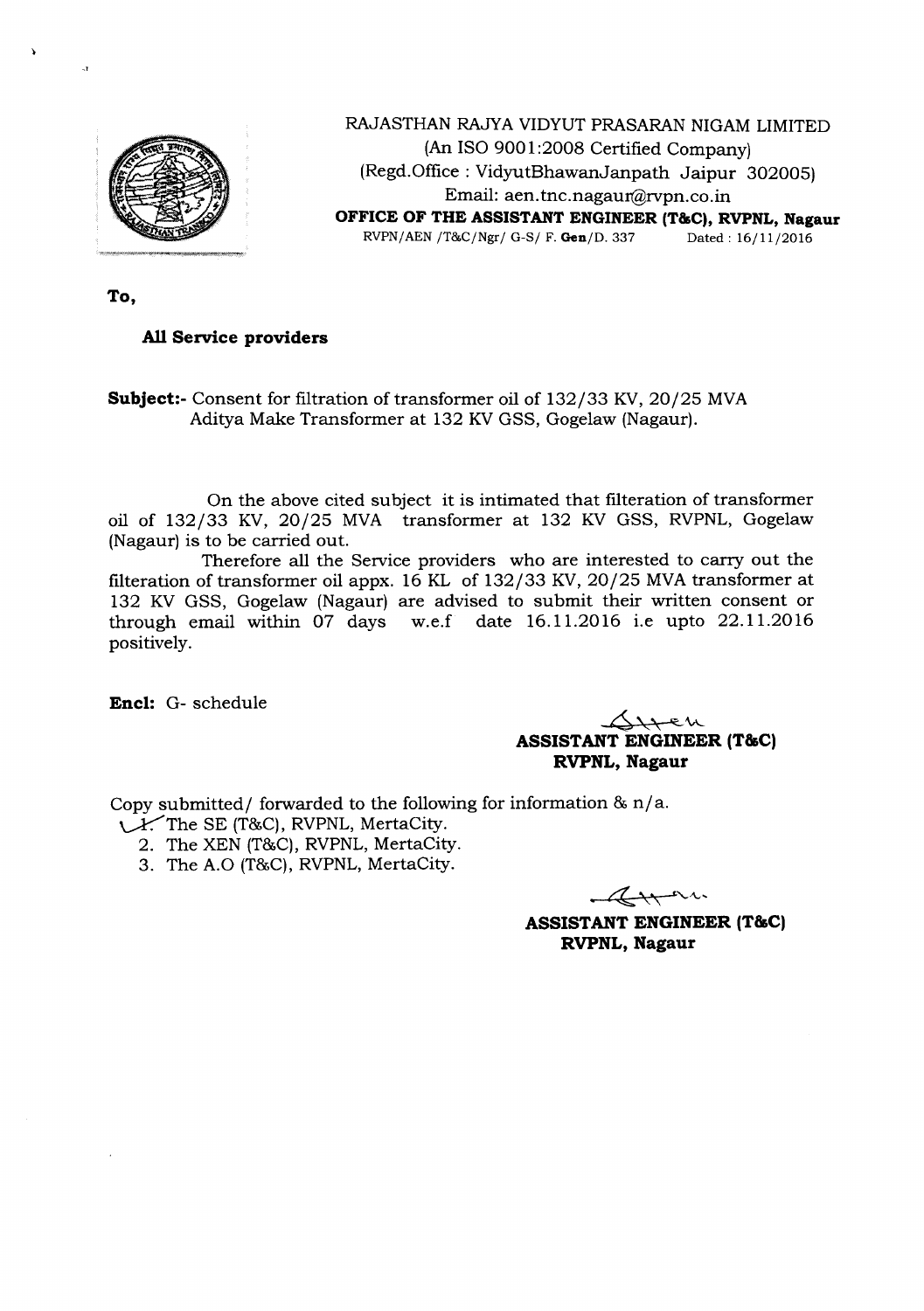

RAJASTHAN RAJYA VIDYUT PRASARAN NIGAM LIMITED (An ISO 9001:2008 Certified Company) (Regd.Office : VidyutBhawanJanpath Jaipur 302005) Email: aen.tnc.nagaur@rvpn.co.in **OFFICE OF THE ASSISTANT ENGINEER (T&C), RVPNL, Nagaur** RVPN/AEN/T&C/Ngr/ G-s/ F.Gen/D. 337 Dated: 16/11/2016

**To,**

 $\lambda$ 

 $\mathbf{I}$ 

## **All Service providers**

**Subject:-** Consent for filtration of transformer oil of 132/33 KV, 20/25 MVA Aditya Make Transformer at 132 KVGSS, Gogelaw (Nagaur).

On the above cited subject it is intimated that filteration of transformer oil of 132/33 KV, 20/25 MVA transformer at 132 KV GSS, RVPNL, Gogelaw (Nagaur) is to be carried out.

Therefore all the Service providers who are interested to carry out the filteration of transformer oil appx. 16 KL of  $132/33$  KV,  $20/25$  MVA transformer at 132 KV GSS, Gogelaw (Nagaur) are advised to submit their written consent or through email within  $07$  days w.e.f date  $16.11.2016$  i.e upto  $22.11.2016$ positively.

**Encl:** G- schedule

4'"**<,** -=\A\_ **-- ASSISTANT ENGINEER (T&C) RVPNL, Nagaur**

Copy submitted/ forwarded to the following for information &  $n/a$ .

- **V**The SE (T&C), RVPNL, MertaCity.
	- 2. The XEN (T&C), RVPNL, MertaCity.
	- 3. The A.O (T&C), RVPNL, MertaCity.

Arra

**ASSISTANT ENGINEER (T&C) RVPNL, Nagaur**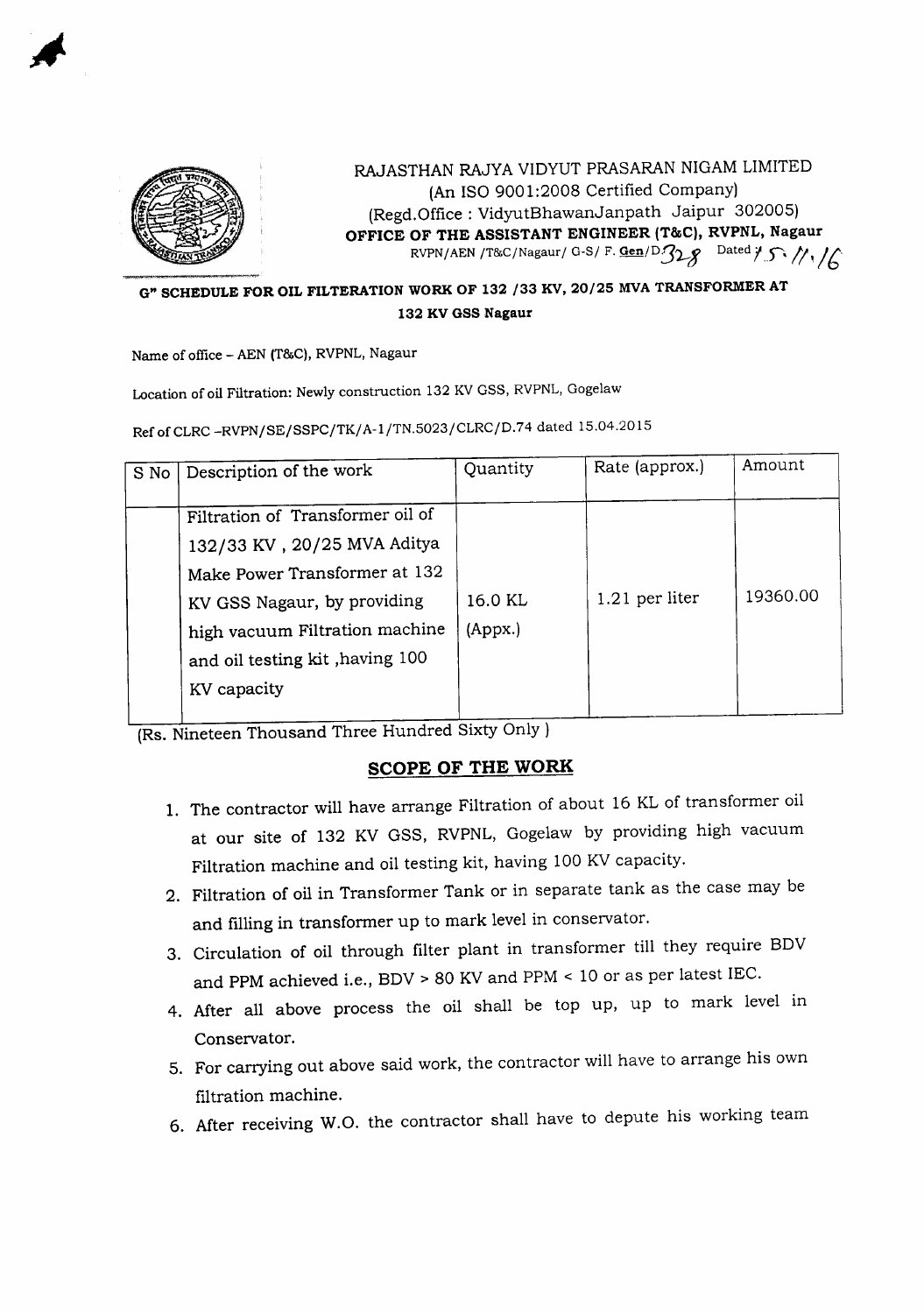

RAJASTHAN RAJYA VIDYUT PRASARAN NIGAM LIMITED (An ISO 9001:2008 Certified Company) (Regd.Office : VidyutBhawanJanpath Jaipur 302005) **OFFICE OF THE ASSISTANT ENGINEER (T&C), RVPNL, Nagaur** RVPN/AEN /T&C/Nagaur/ G-S/ F. Gen/D $328$  Dated  $1.5$  //1/

## **G" SCHEDULE FOR OIL FILTERATION WORK OF 132** /33 **KV,** 20/25 **MVA TRANSFORMER AT 132 KV GSS Nagaur**

Name of office - AEN (T&C), RVPNL, Nagaur

Location of oil Filtration: Newly construction 132 KV GSS, RVPNL, Gogelaw

Ref of CLRC -RVPN/SE/SSPC/TK/A-1/TN.5023/CLRC/D.74 dated 15.04.2015

|                                                                                                                                                                                                                                           | Rate (approx.) | Amount   |
|-------------------------------------------------------------------------------------------------------------------------------------------------------------------------------------------------------------------------------------------|----------------|----------|
| Filtration of Transformer oil of<br>132/33 KV, 20/25 MVA Aditya<br>Make Power Transformer at 132<br>16.0 KL<br>KV GSS Nagaur, by providing<br>high vacuum Filtration machine<br>(Appx.)<br>and oil testing kit, having 100<br>KV capacity | 1.21 per liter | 19360.00 |

(Rs. Nineteen Thousand Three Hundred Sixty Only)

## **SCOPE OF THE WORK**

- 1. The contractor will have arrange Filtration of about 16 KL of transformer oil at our site of 132 KV GSS, RVPNL, Gogelaw by providing high vacuum Filtration machine and oil testing kit, having 100 KV capacity.
- 2. Filtration of oil in Transformer Tank or in separate tank as the case may be and filling in transformer up to mark level in conservator.
- 3. Circulation of oil through filter plant in transformer till they require BDV and PPM achieved i.e.,  $BDV > 80$  KV and PPM  $< 10$  or as per latest IEC.
- 4. After all above process the oil shall be top up, up to mark level in Conservator.
- 5. For carrying out above said work, the contractor will have to arrange his own filtration machine.
- 6. After receiving W.O. the contractor shall have to depute his working team